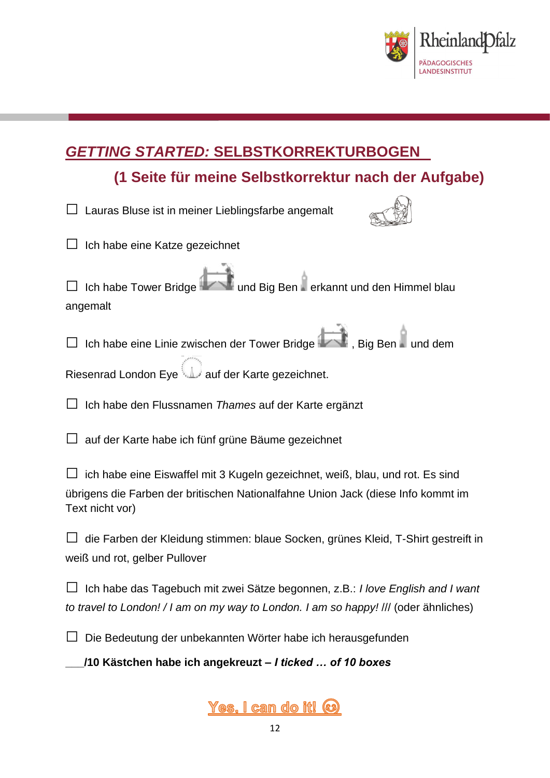

# *GETTING STARTED:* **SELBSTKORREKTURBOGEN**

# **(1 Seite für meine Selbstkorrektur nach der Aufgabe)**

| The peite furnitum of personal result in the control of the set of the control of the set of the control of the control of the control of the control of the control of the control of the control of the control of the contr |
|--------------------------------------------------------------------------------------------------------------------------------------------------------------------------------------------------------------------------------|
| □ Lauras Bluse ist in meiner Lieblingsfarbe angemalt                                                                                                                                                                           |
| $\Box$ Ich habe eine Katze gezeichnet                                                                                                                                                                                          |
| □ Ich habe Tower Bridge International Big Ben Perkannt und den Himmel blau<br>angemalt                                                                                                                                         |
| □ Ich habe eine Linie zwischen der Tower Bridge (Kollen, Big Ben Kund dem                                                                                                                                                      |
| auf der Karte gezeichnet.                                                                                                                                                                                                      |
| $\Box$ Ich habe den Flussnamen Thames auf der Karte ergänzt                                                                                                                                                                    |
| auf der Karte habe ich fünf grüne Bäume gezeichnet                                                                                                                                                                             |
| □ ich habe eine Eiswaffel mit 3 Kugeln gezeichnet, weiß, blau, und rot. Es sind<br>übrigens die Farben der britischen Nationalfahne Union Jack (diese Info kommt im<br>Text nicht vor)                                         |
| $\Box$ die Farben der Kleidung stimmen: blaue Socken, grünes Kleid, T-Shirt gestreift in<br>weiß und rot, gelber Pullover                                                                                                      |
| $\Box$ Ich habe das Tagebuch mit zwei Sätze begonnen, z.B.: I love English and I want<br>to travel to London! / I am on my way to London. I am so happy! /// (oder ähnliches)                                                  |
| $\Box$ Die Bedeutung der unbekannten Wörter habe ich herausgefunden                                                                                                                                                            |

**\_\_\_/10 Kästchen habe ich angekreuzt –** *I ticked … of 10 boxes*

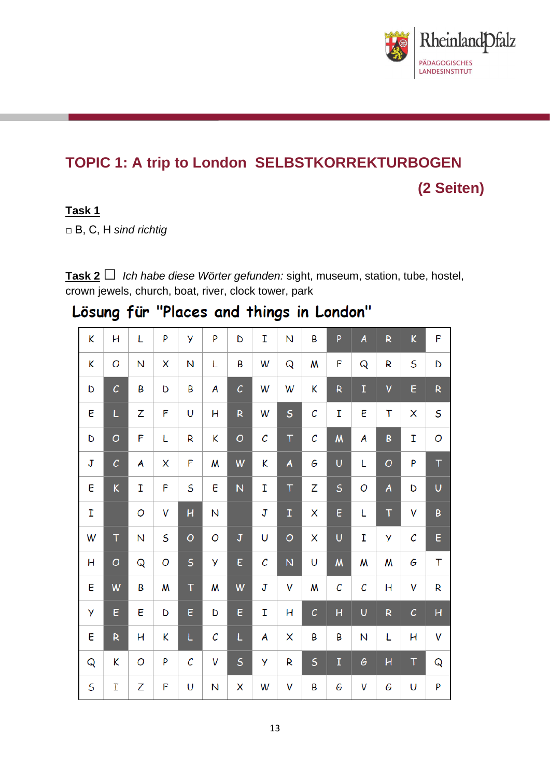

# **TOPIC 1: A trip to London SELBSTKORREKTURBOGEN (2 Seiten)**

#### **Task 1**

□ B, C, H *sind richtig*

**Task 2**□ *Ich habe diese Wörter gefunden:* sight, museum, station, tube, hostel, crown jewels, church, boat, river, clock tower, park

Lösung für "Places and things in London"

| K       | н                 | L | P | y                     | P | D                           | T                     | N           | B            | P                | A | $\mathsf R$ | K            | F           |
|---------|-------------------|---|---|-----------------------|---|-----------------------------|-----------------------|-------------|--------------|------------------|---|-------------|--------------|-------------|
| K       | O                 | N | X | N                     | L | B                           | W                     | Q           | W            | F                | Q | R           | S            | D           |
| D       | $\mathcal{C}_{0}$ | B | D | Β                     | A | $\mathcal{C}_{\mathcal{C}}$ | W                     | W           | K            | R                | I | V           | E            | R           |
| E       | L                 | Z | F | U                     | Н | $\overline{\mathsf{R}}$     | W                     | S           | $\mathcal C$ | T                | E | T           | X            | S           |
| D       | $\circ$           | F | L | R                     | K | O                           | $\mathcal{C}_{0}^{0}$ | T           | $\mathcal C$ | $\boldsymbol{M}$ | A | B           | Ī            | O           |
| J       | $\mathcal{C}_{0}$ | A | X | F                     | W | W                           | K                     | A           | G            | Ü                | L | O           | P            | $\mathsf T$ |
| E       | K                 | I | F | S                     | E | Ñ                           | I                     | T           | Z            | S                | O | A           | D            | Ü           |
| T       |                   | O | V | Ĥ                     | N |                             | J                     | $\mathbf T$ | X            | E                | L | T           | V            | B           |
| W       | $\mathsf T$       | N | S | $\overline{O}$        | O | ${\bf J}$                   | U                     | O           | X            | Ü                | I | У           | С            | E           |
| н       | $\circ$           | Q | O | S                     | y | E                           | $\mathcal C$          | N           | U            | $\boldsymbol{M}$ | W | W           | G            | T           |
| E       | W                 | B | W | $\mathsf T$           | W | W                           | J                     | V           | W            | С                | C | H           | V            | R           |
| y       | E                 | E | D | E                     | D | E                           | I                     | н           | с            | H                | U | R           | $\mathcal C$ | Н           |
| E       | R                 | н | K | L                     | C | L                           | A                     | X           | B            | Β                | N | L           | H            | V           |
| Q       | K                 | O | P | $\mathcal{C}_{0}^{2}$ | V | $\sf S$                     | y                     | R           | $\sf S$      | $\mathbf I$      | G | Ĥ           | Τ            | Q           |
| $\sf S$ | I                 | Z | F | U                     | N | X                           | W                     | V           | B            | G                | V | G           | U            | P           |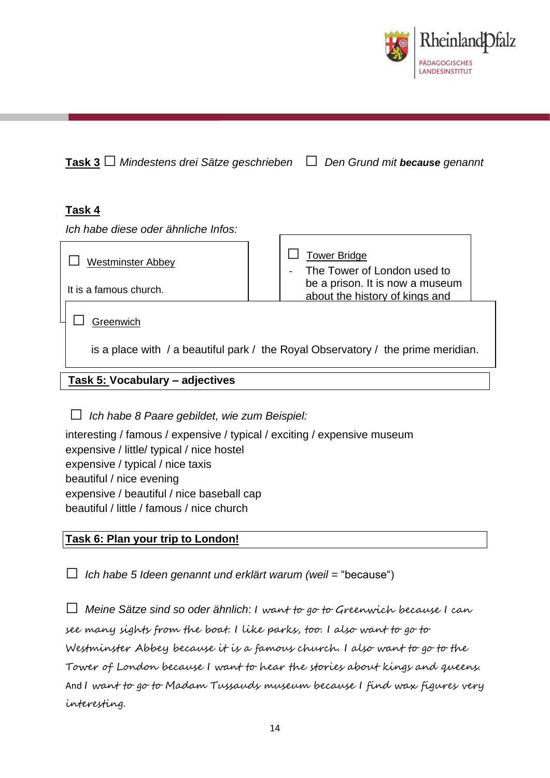

### **Task 3**□ *Mindestens drei Sätze geschrieben* □ *Den Grund mit because genannt*

### **Task 4**

*Ich habe diese oder ähnliche Infos:*

| <b>Westminster Abbey</b><br>It is a famous church. | <b>Tower Bridge</b><br>The Tower of London used to<br>be a prison. It is now a museum<br>about the history of kings and |  |
|----------------------------------------------------|-------------------------------------------------------------------------------------------------------------------------|--|
| <b>Areenwich</b>                                   |                                                                                                                         |  |

is a place with / a beautiful park / the Royal Observatory / the prime meridian.

### **Task 5: Vocabulary – adjectives**

□ *Ich habe 8 Paare gebildet, wie zum Beispiel:*

interesting / famous / expensive / typical / exciting / expensive museum expensive / little/ typical / nice hostel expensive / typical / nice taxis beautiful / nice evening expensive / beautiful / nice baseball cap beautiful / little / famous / nice church

#### **Task 6: Plan your trip to London!**

□ *Ich habe 5 Ideen genannt und erklärt warum (weil =* "because")

 $\Box$  Meine Sätze sind so oder ähnlich: I want to go to Greenwich because I can see many sights from the boat. I like parks, too. I also want to go to Westminster Abbey because it is a famous church. I also want to go to the Tower of London because I want to hear the stories about kings and queens. And I want to go to Madam Tussauds museum because I find wax figures very interesting.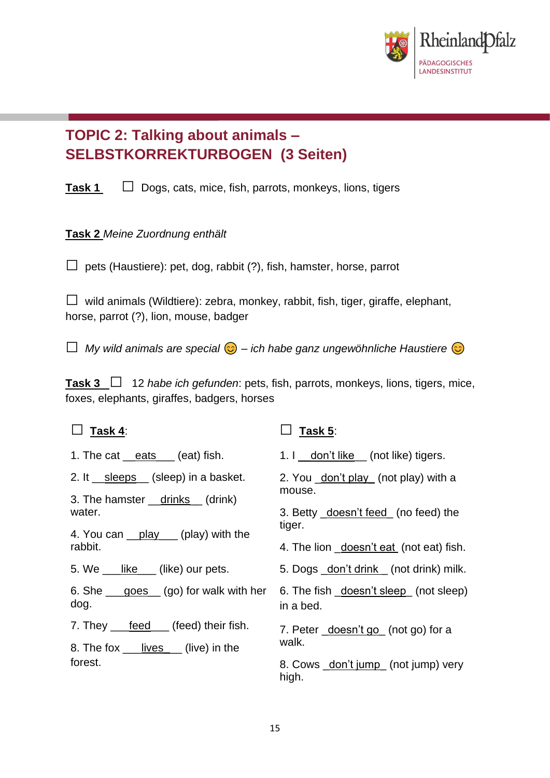

## **TOPIC 2: Talking about animals – SELBSTKORREKTURBOGEN (3 Seiten)**

**Task 1** □ Dogs, cats, mice, fish, parrots, monkeys, lions, tigers

### **Task 2** *Meine Zuordnung enthält*

 $\Box$  pets (Haustiere): pet, dog, rabbit (?), fish, hamster, horse, parrot

 $\Box$  wild animals (Wildtiere): zebra, monkey, rabbit, fish, tiger, giraffe, elephant, horse, parrot (?), lion, mouse, badger

□ *My wild animals are special* – *ich habe ganz ungewöhnliche Haustiere*

**Task 3** □ <sup>12</sup> *habe ich gefunden*: pets, fish, parrots, monkeys, lions, tigers, mice, foxes, elephants, giraffes, badgers, horses

| Task 4:                                                                  | Task 5:                                                                                          |  |  |  |  |  |
|--------------------------------------------------------------------------|--------------------------------------------------------------------------------------------------|--|--|--|--|--|
| 1. The cat $\_eats$ (eat) fish.                                          | 1. I don't like (not like) tigers.                                                               |  |  |  |  |  |
| 2. It __sleeps__ (sleep) in a basket.                                    | 2. You _don't play (not play) with a<br>mouse.<br>3. Betty _doesn't feed (no feed) the<br>tiger. |  |  |  |  |  |
| 3. The hamster __drinks __(drink)<br>water.                              |                                                                                                  |  |  |  |  |  |
| 4. You can play (play) with the<br>rabbit.                               | 4. The lion _doesn't eat (not eat) fish.                                                         |  |  |  |  |  |
| 5. We ___like___ (like) our pets.                                        | 5. Dogs _don't drink _ (not drink) milk.                                                         |  |  |  |  |  |
| 6. She $\_\$ goes $\_\$ (go) for walk with her<br>dog.                   | 6. The fish _doesn't sleep_ (not sleep)<br>in a bed.                                             |  |  |  |  |  |
| 7. They <u>feed</u> (feed) their fish.<br>8. The fox lives (live) in the | 7. Peter <u>doesn't go</u> (not go) for a<br>walk.                                               |  |  |  |  |  |
| forest.                                                                  | 8. Cows _don't jump_ (not jump) very<br>high.                                                    |  |  |  |  |  |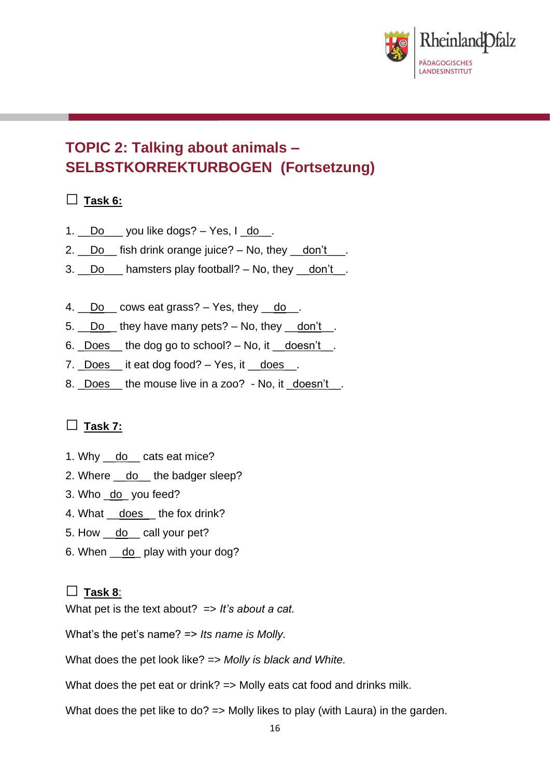

## **TOPIC 2: Talking about animals – SELBSTKORREKTURBOGEN (Fortsetzung)**

### **□ Task 6:**

- 1.  $\Box$ Do \_\_\_ you like dogs? Yes, I  $\Box$ do  $\Box$ .
- 2. Do fish drink orange juice? No, they don't  $\blacksquare$ .
- 3.  $\Box$  Do  $\Box$  hamsters play football? No, they  $\Box$  don't  $\Box$ .
- 4.  $\Box$  Do  $\Box$  cows eat grass?  $-$  Yes, they  $\Box$  do  $\Box$ .
- 5.  $\Box$ Do  $\Box$  they have many pets?  $-$  No, they  $\Box$  don't  $\Box$ .
- 6.  $\sqrt{2}$  Does the dog go to school? No, it  $\sqrt{2}$  doesn't.
- 7. Does \_\_ it eat dog food? Yes, it \_\_does \_\_.
- 8. Does the mouse live in a zoo? No, it \_doesn't \_.

### □ **Task 7:**

- 1. Why \_\_do\_\_ cats eat mice?
- 2. Where \_\_do\_\_ the badger sleep?
- 3. Who \_do\_ you feed?
- 4. What \_\_does\_\_the fox drink?
- 5. How \_\_do\_\_ call your pet?
- 6. When do play with your dog?

### □ **Task 8**:

What pet is the text about? => *It's about a cat.*

What's the pet's name? => *Its name is Molly.* 

What does the pet look like? => *Molly is black and White.*

What does the pet eat or drink? => Molly eats cat food and drinks milk.

What does the pet like to do? => Molly likes to play (with Laura) in the garden.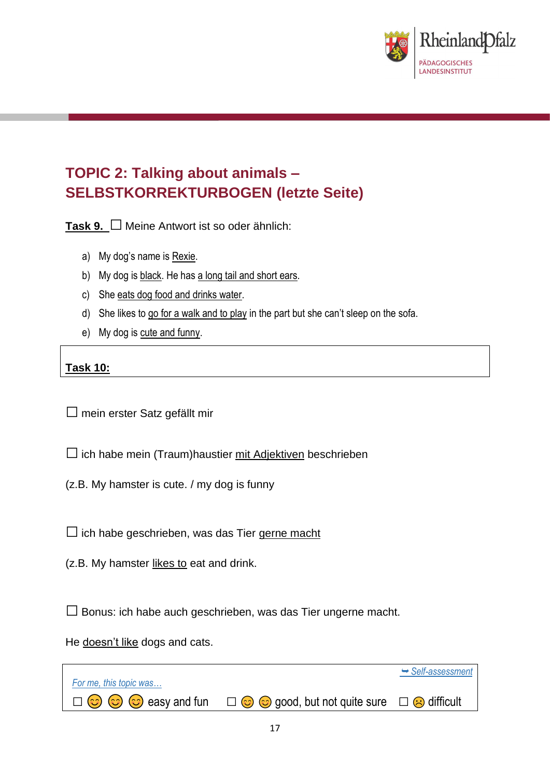

# **TOPIC 2: Talking about animals – SELBSTKORREKTURBOGEN (letzte Seite)**

**Task 9.** □ Meine Antwort ist so oder ähnlich:

- a) My dog's name is Rexie.
- b) My dog is black. He has a long tail and short ears.
- c) She eats dog food and drinks water.
- d) She likes to go for a walk and to play in the part but she can't sleep on the sofa.
- e) My dog is cute and funny.

### **Task 10:**

 $\square$  mein erster Satz gefällt mir

 $\square$  ich habe mein (Traum) haustier mit Adjektiven beschrieben

(z.B. My hamster is cute. / my dog is funny

 $\square$  ich habe geschrieben, was das Tier gerne macht

(z.B. My hamster likes to eat and drink.

 $\square$  Bonus: ich habe auch geschrieben, was das Tier ungerne macht.

He doesn't like dogs and cats.

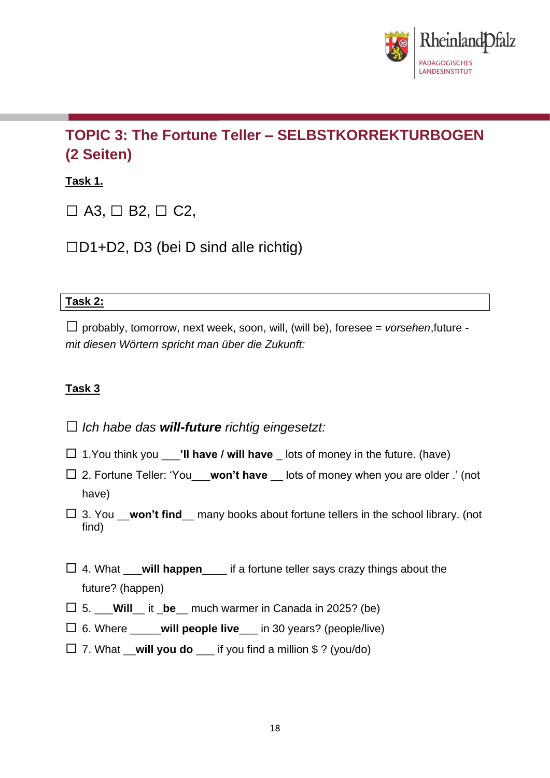

# **TOPIC 3: The Fortune Teller – SELBSTKORREKTURBOGEN (2 Seiten)**

### **Task 1.**

 $\Box$  A3,  $\Box$  B2,  $\Box$  C2,

 $\Box$ D1+D2, D3 (bei D sind alle richtig)

### **Task 2:**

□probably, tomorrow, next week, soon, will, (will be), foresee = *vorsehen*,future  *mit diesen Wörtern spricht man über die Zukunft:*

### **Task 3**

□*Ich habe das will-future richtig eingesetzt:* 

- 1.You think you \_\_\_**'ll have / will have** \_ lots of money in the future. (have)
- 2. Fortune Teller: 'You\_\_\_**won't have** \_\_ lots of money when you are older .' (not have)

 3. You \_\_**won't find**\_\_ many books about fortune tellers in the school library. (not find)

- 4. What \_\_\_**will happen**\_\_\_\_ if a fortune teller says crazy things about the future? (happen)
- $\Box$  5. **Will** it **be** much warmer in Canada in 2025? (be)
- 6. Where \_\_\_\_\_**will people live**\_\_\_ in 30 years? (people/live)
- 7. What \_\_**will you do** \_\_\_ if you find a million \$ ? (you/do)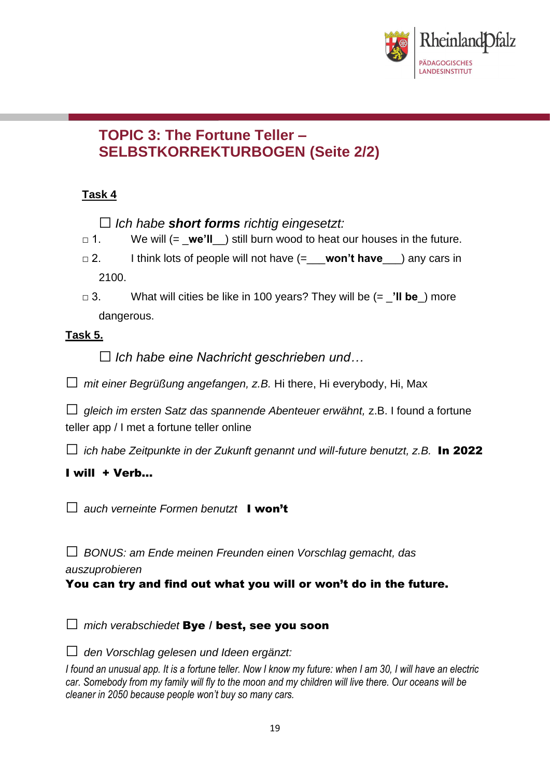

### **TOPIC 3: The Fortune Teller – SELBSTKORREKTURBOGEN (Seite 2/2)**

### **Task 4**

□*Ich habe short forms richtig eingesetzt:* 

- □ 1. We will (= \_**we'll**\_\_) still burn wood to heat our houses in the future.
- □ 2. I think lots of people will not have (=\_\_\_**won't have**\_\_\_) any cars in 2100.
- □ 3. What will cities be like in 100 years? They will be (= \_**'ll be**\_) more dangerous.

### **Task 5.**

□*Ich habe eine Nachricht geschrieben und…*

□ *mit einer Begrüßung angefangen, z.B.* Hi there, Hi everybody, Hi, Max

□ *gleich im ersten Satz das spannende Abenteuer erwähnt,* z.B. I found a fortune teller app / I met a fortune teller online

 $\square$  *ich habe Zeitpunkte in der Zukunft genannt und will-future benutzt, z.B.* **In 2022** 

### I will + Verb…

□ *auch verneinte Formen benutzt* I won<sup>'t</sup>

□ *BONUS: am Ende meinen Freunden einen Vorschlag gemacht, das* 

*auszuprobieren*

You can try and find out what you will or won't do in the future.

□ *mich verabschiedet* Bye / best, see you soon

□ *den Vorschlag gelesen und Ideen ergänzt:*

*I found an unusual app. It is a fortune teller. Now I know my future: when I am 30, I will have an electric car. Somebody from my family will fly to the moon and my children will live there. Our oceans will be cleaner in 2050 because people won't buy so many cars.*